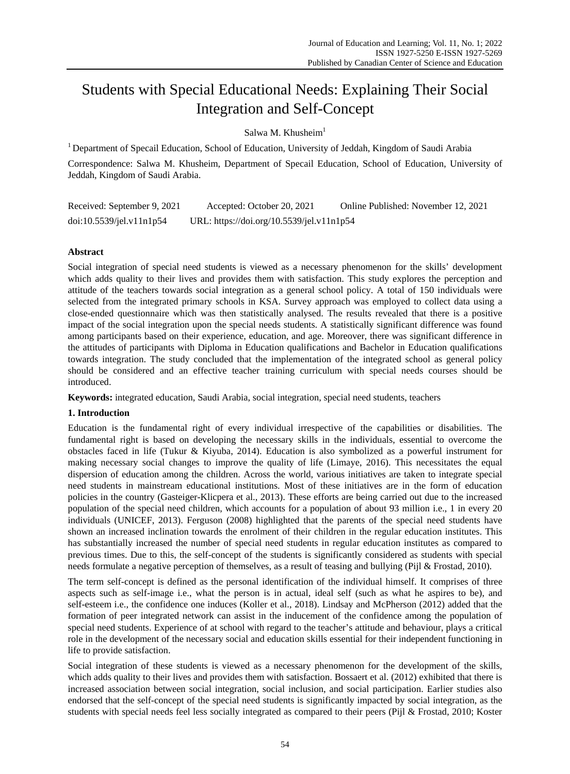# Students with Special Educational Needs: Explaining Their Social Integration and Self-Concept

Salwa M. Khusheim<sup>1</sup>

<sup>1</sup> Department of Specail Education, School of Education, University of Jeddah, Kingdom of Saudi Arabia

Correspondence: Salwa M. Khusheim, Department of Specail Education, School of Education, University of Jeddah, Kingdom of Saudi Arabia.

Received: September 9, 2021 Accepted: October 20, 2021 Online Published: November 12, 2021 doi:10.5539/jel.v11n1p54 URL: https://doi.org/10.5539/jel.v11n1p54

# **Abstract**

Social integration of special need students is viewed as a necessary phenomenon for the skills' development which adds quality to their lives and provides them with satisfaction. This study explores the perception and attitude of the teachers towards social integration as a general school policy. A total of 150 individuals were selected from the integrated primary schools in KSA. Survey approach was employed to collect data using a close-ended questionnaire which was then statistically analysed. The results revealed that there is a positive impact of the social integration upon the special needs students. A statistically significant difference was found among participants based on their experience, education, and age. Moreover, there was significant difference in the attitudes of participants with Diploma in Education qualifications and Bachelor in Education qualifications towards integration. The study concluded that the implementation of the integrated school as general policy should be considered and an effective teacher training curriculum with special needs courses should be introduced.

**Keywords:** integrated education, Saudi Arabia, social integration, special need students, teachers

# **1. Introduction**

Education is the fundamental right of every individual irrespective of the capabilities or disabilities. The fundamental right is based on developing the necessary skills in the individuals, essential to overcome the obstacles faced in life (Tukur & Kiyuba, 2014). Education is also symbolized as a powerful instrument for making necessary social changes to improve the quality of life (Limaye, 2016). This necessitates the equal dispersion of education among the children. Across the world, various initiatives are taken to integrate special need students in mainstream educational institutions. Most of these initiatives are in the form of education policies in the country (Gasteiger-Klicpera et al., 2013). These efforts are being carried out due to the increased population of the special need children, which accounts for a population of about 93 million i.e., 1 in every 20 individuals (UNICEF, 2013). Ferguson (2008) highlighted that the parents of the special need students have shown an increased inclination towards the enrolment of their children in the regular education institutes. This has substantially increased the number of special need students in regular education institutes as compared to previous times. Due to this, the self-concept of the students is significantly considered as students with special needs formulate a negative perception of themselves, as a result of teasing and bullying (Pijl & Frostad, 2010).

The term self-concept is defined as the personal identification of the individual himself. It comprises of three aspects such as self-image i.e., what the person is in actual, ideal self (such as what he aspires to be), and self-esteem i.e., the confidence one induces (Koller et al., 2018). Lindsay and McPherson (2012) added that the formation of peer integrated network can assist in the inducement of the confidence among the population of special need students. Experience of at school with regard to the teacher's attitude and behaviour, plays a critical role in the development of the necessary social and education skills essential for their independent functioning in life to provide satisfaction.

Social integration of these students is viewed as a necessary phenomenon for the development of the skills, which adds quality to their lives and provides them with satisfaction. Bossaert et al. (2012) exhibited that there is increased association between social integration, social inclusion, and social participation. Earlier studies also endorsed that the self-concept of the special need students is significantly impacted by social integration, as the students with special needs feel less socially integrated as compared to their peers (Pijl & Frostad, 2010; Koster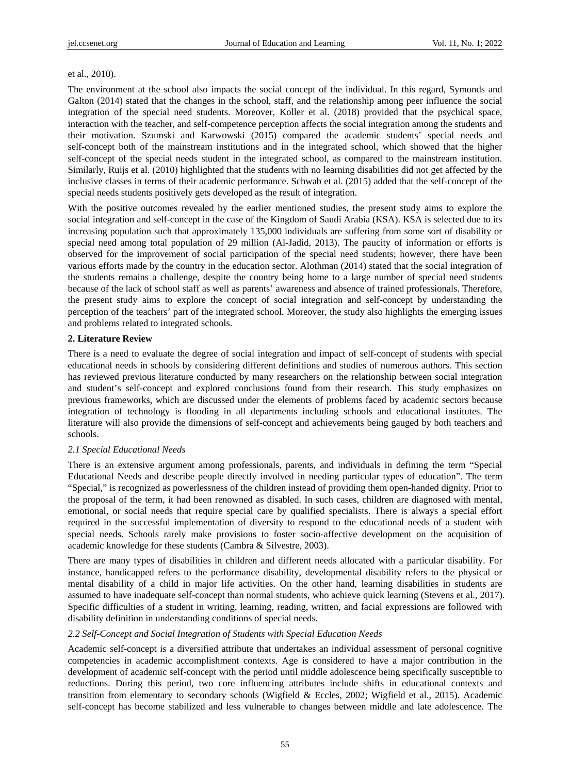#### et al., 2010).

The environment at the school also impacts the social concept of the individual. In this regard, Symonds and Galton (2014) stated that the changes in the school, staff, and the relationship among peer influence the social integration of the special need students. Moreover, Koller et al. (2018) provided that the psychical space, interaction with the teacher, and self-competence perception affects the social integration among the students and their motivation. Szumski and Karwowski (2015) compared the academic students' special needs and self-concept both of the mainstream institutions and in the integrated school, which showed that the higher self-concept of the special needs student in the integrated school, as compared to the mainstream institution. Similarly, Ruijs et al. (2010) highlighted that the students with no learning disabilities did not get affected by the inclusive classes in terms of their academic performance. Schwab et al. (2015) added that the self-concept of the special needs students positively gets developed as the result of integration.

With the positive outcomes revealed by the earlier mentioned studies, the present study aims to explore the social integration and self-concept in the case of the Kingdom of Saudi Arabia (KSA). KSA is selected due to its increasing population such that approximately 135,000 individuals are suffering from some sort of disability or special need among total population of 29 million (Al-Jadid, 2013). The paucity of information or efforts is observed for the improvement of social participation of the special need students; however, there have been various efforts made by the country in the education sector. Alothman (2014) stated that the social integration of the students remains a challenge, despite the country being home to a large number of special need students because of the lack of school staff as well as parents' awareness and absence of trained professionals. Therefore, the present study aims to explore the concept of social integration and self-concept by understanding the perception of the teachers' part of the integrated school. Moreover, the study also highlights the emerging issues and problems related to integrated schools.

## **2. Literature Review**

There is a need to evaluate the degree of social integration and impact of self-concept of students with special educational needs in schools by considering different definitions and studies of numerous authors. This section has reviewed previous literature conducted by many researchers on the relationship between social integration and student's self-concept and explored conclusions found from their research. This study emphasizes on previous frameworks, which are discussed under the elements of problems faced by academic sectors because integration of technology is flooding in all departments including schools and educational institutes. The literature will also provide the dimensions of self-concept and achievements being gauged by both teachers and schools.

## *2.1 Special Educational Needs*

There is an extensive argument among professionals, parents, and individuals in defining the term "Special Educational Needs and describe people directly involved in needing particular types of education". The term "Special," is recognized as powerlessness of the children instead of providing them open-handed dignity. Prior to the proposal of the term, it had been renowned as disabled. In such cases, children are diagnosed with mental, emotional, or social needs that require special care by qualified specialists. There is always a special effort required in the successful implementation of diversity to respond to the educational needs of a student with special needs. Schools rarely make provisions to foster socio-affective development on the acquisition of academic knowledge for these students (Cambra & Silvestre, 2003).

There are many types of disabilities in children and different needs allocated with a particular disability. For instance, handicapped refers to the performance disability, developmental disability refers to the physical or mental disability of a child in major life activities. On the other hand, learning disabilities in students are assumed to have inadequate self-concept than normal students, who achieve quick learning (Stevens et al., 2017). Specific difficulties of a student in writing, learning, reading, written, and facial expressions are followed with disability definition in understanding conditions of special needs.

#### *2.2 Self-Concept and Social Integration of Students with Special Education Needs*

Academic self-concept is a diversified attribute that undertakes an individual assessment of personal cognitive competencies in academic accomplishment contexts. Age is considered to have a major contribution in the development of academic self-concept with the period until middle adolescence being specifically susceptible to reductions. During this period, two core influencing attributes include shifts in educational contexts and transition from elementary to secondary schools (Wigfield & Eccles, 2002; Wigfield et al., 2015). Academic self-concept has become stabilized and less vulnerable to changes between middle and late adolescence. The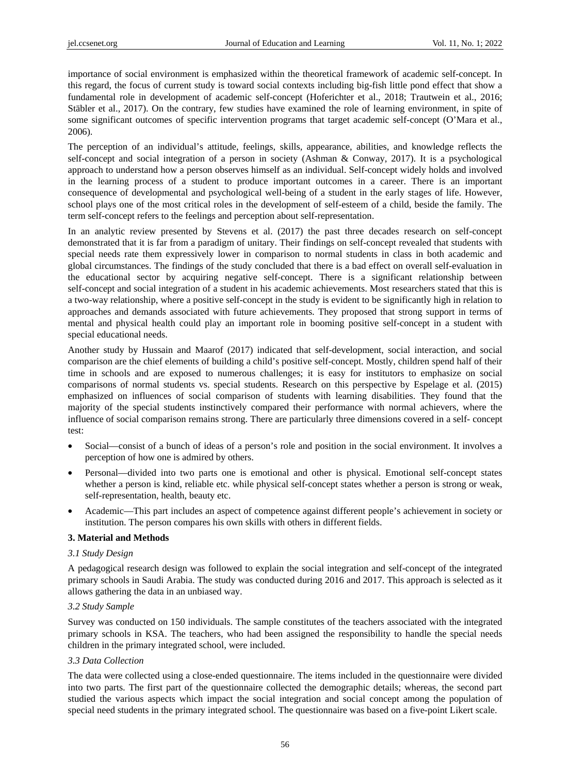importance of social environment is emphasized within the theoretical framework of academic self-concept. In this regard, the focus of current study is toward social contexts including big-fish little pond effect that show a fundamental role in development of academic self-concept (Hoferichter et al., 2018; Trautwein et al., 2016; Stäbler et al., 2017). On the contrary, few studies have examined the role of learning environment, in spite of some significant outcomes of specific intervention programs that target academic self-concept (O'Mara et al., 2006).

The perception of an individual's attitude, feelings, skills, appearance, abilities, and knowledge reflects the self-concept and social integration of a person in society (Ashman & Conway, 2017). It is a psychological approach to understand how a person observes himself as an individual. Self-concept widely holds and involved in the learning process of a student to produce important outcomes in a career. There is an important consequence of developmental and psychological well-being of a student in the early stages of life. However, school plays one of the most critical roles in the development of self-esteem of a child, beside the family. The term self-concept refers to the feelings and perception about self-representation.

In an analytic review presented by Stevens et al. (2017) the past three decades research on self-concept demonstrated that it is far from a paradigm of unitary. Their findings on self-concept revealed that students with special needs rate them expressively lower in comparison to normal students in class in both academic and global circumstances. The findings of the study concluded that there is a bad effect on overall self-evaluation in the educational sector by acquiring negative self-concept. There is a significant relationship between self-concept and social integration of a student in his academic achievements. Most researchers stated that this is a two-way relationship, where a positive self-concept in the study is evident to be significantly high in relation to approaches and demands associated with future achievements. They proposed that strong support in terms of mental and physical health could play an important role in booming positive self-concept in a student with special educational needs.

Another study by Hussain and Maarof (2017) indicated that self-development, social interaction, and social comparison are the chief elements of building a child's positive self-concept. Mostly, children spend half of their time in schools and are exposed to numerous challenges; it is easy for institutors to emphasize on social comparisons of normal students vs. special students. Research on this perspective by Espelage et al. (2015) emphasized on influences of social comparison of students with learning disabilities. They found that the majority of the special students instinctively compared their performance with normal achievers, where the influence of social comparison remains strong. There are particularly three dimensions covered in a self- concept test:

- Social—consist of a bunch of ideas of a person's role and position in the social environment. It involves a perception of how one is admired by others.
- Personal—divided into two parts one is emotional and other is physical. Emotional self-concept states whether a person is kind, reliable etc. while physical self-concept states whether a person is strong or weak, self-representation, health, beauty etc.
- Academic—This part includes an aspect of competence against different people's achievement in society or institution. The person compares his own skills with others in different fields.

# **3. Material and Methods**

## *3.1 Study Design*

A pedagogical research design was followed to explain the social integration and self-concept of the integrated primary schools in Saudi Arabia. The study was conducted during 2016 and 2017. This approach is selected as it allows gathering the data in an unbiased way.

## *3.2 Study Sample*

Survey was conducted on 150 individuals. The sample constitutes of the teachers associated with the integrated primary schools in KSA. The teachers, who had been assigned the responsibility to handle the special needs children in the primary integrated school, were included.

## *3.3 Data Collection*

The data were collected using a close-ended questionnaire. The items included in the questionnaire were divided into two parts. The first part of the questionnaire collected the demographic details; whereas, the second part studied the various aspects which impact the social integration and social concept among the population of special need students in the primary integrated school. The questionnaire was based on a five-point Likert scale.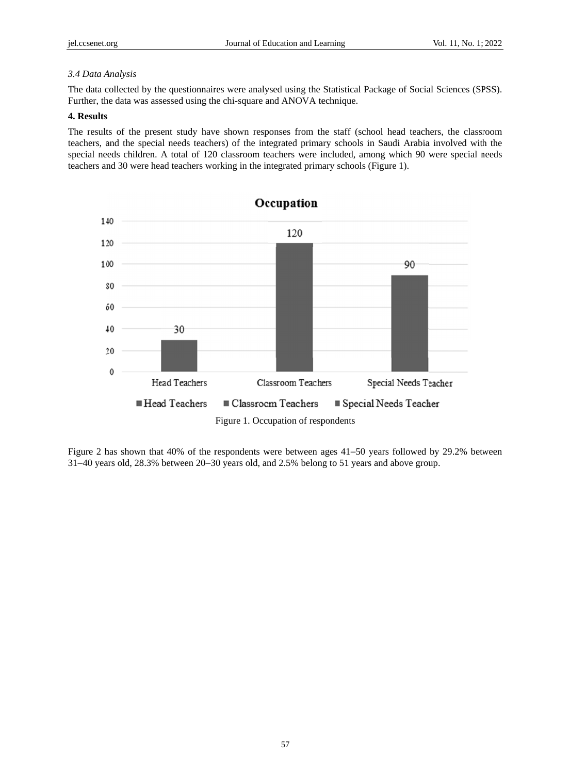## *3.4 Data A Analysis*

The data collected by the questionnaires were analysed using the Statistical Package of Social Sciences (SPSS). Further, the data was assessed using the chi-square and ANOVA technique.

#### **4. Results**

The results of the present study have shown responses from the staff (school head teachers, the classroom teachers, and the special needs teachers) of the integrated primary schools in Saudi Arabia involved with the special needs children. A total of 120 classroom teachers were included, among which 90 were special needs teachers and 30 were head teachers working in the integrated primary schools (Figure 1).



Figure 2 has shown that 40% of the respondents were between ages 41–50 years followed by 29.2% between 31–40 years old, 28.3% between 20–30 years old, and 2.5% belong to 51 years and above group.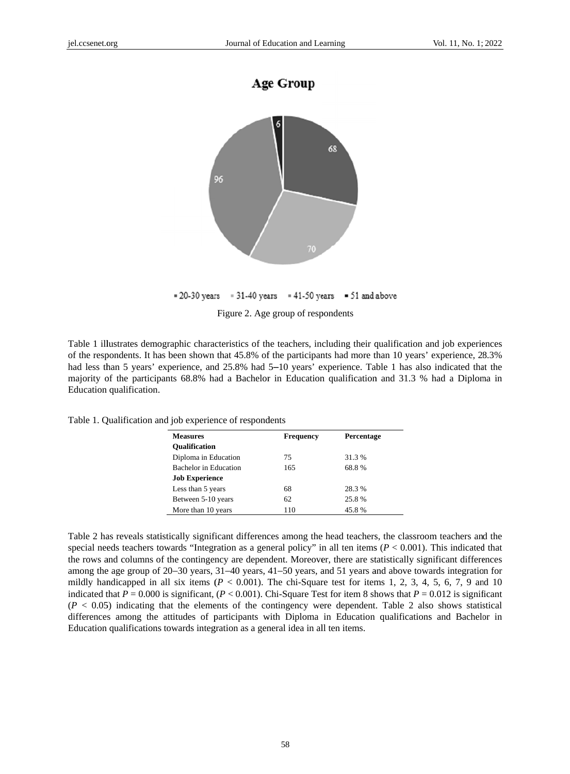



```
= 20-30 years = 31-40 years = 41-50 years = 51 and above
```
Figure 2. Age group of respondents

Table 1 illustrates demographic characteristics of the teachers, including their qualification and job experiences of the respondents. It has been shown that 45.8% of the participants had more than 10 years' experience, 28.3% had less than 5 years' experience, and 25.8% had 5–10 years' experience. Table 1 has also indicated that the majority of the participants 68.8% had a Bachelor in Education qualification and 31.3 % had a Diploma in Education qualification.

| <b>Measures</b>              | <b>Frequency</b> | Percentage |
|------------------------------|------------------|------------|
| <b>Oualification</b>         |                  |            |
| Diploma in Education         | 75               | 31.3 %     |
| <b>Bachelor</b> in Education | 165              | 68.8%      |
| <b>Job Experience</b>        |                  |            |
| Less than 5 years            | 68               | 28.3 %     |
| Between 5-10 years           | 62               | 25.8%      |
| More than 10 years           | 110              | 45.8%      |

Table 1. Qualification and job experience of respondents

Table 2 has reveals statistically significant differences among the head teachers, the classroom teachers and the special needs teachers towards "Integration as a general policy" in all ten items  $(P < 0.001)$ . This indicated that the rows and columns of the contingency are dependent. Moreover, there are statistically significant differences among the age group of 20–30 years, 31–40 years, 41–50 years, and 51 years and above towards integration for mildly handicapped in all six items  $(P < 0.001)$ . The chi-Square test for items 1, 2, 3, 4, 5, 6, 7, 9 and 10 indicated that  $P = 0.000$  is significant,  $(P < 0.001)$ . Chi-Square Test for item 8 shows that  $P = 0.012$  is significant  $(P < 0.05)$  indicating that the elements of the contingency were dependent. Table 2 also shows statistical differences among the attitudes of participants with Diploma in Education qualifications and Bachelor in Education qualifications towards integration as a general idea in all ten items.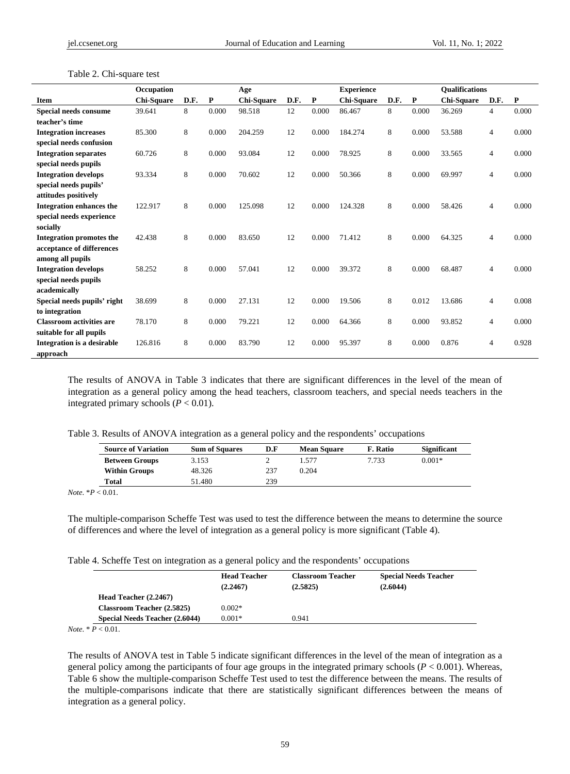|                                   | Occupation        |      |       | Age        |      |              | <b>Experience</b> |      |              | <b>Oualifications</b> |                |       |
|-----------------------------------|-------------------|------|-------|------------|------|--------------|-------------------|------|--------------|-----------------------|----------------|-------|
| <b>Item</b>                       | <b>Chi-Square</b> | D.F. | P     | Chi-Square | D.F. | $\mathbf{P}$ | Chi-Square        | D.F. | $\mathbf{P}$ | Chi-Square            | D.F.           | P     |
| <b>Special needs consume</b>      | 39.641            | 8    | 0.000 | 98.518     | 12   | 0.000        | 86.467            | 8    | 0.000        | 36.269                | $\overline{4}$ | 0.000 |
| teacher's time                    |                   |      |       |            |      |              |                   |      |              |                       |                |       |
| <b>Integration increases</b>      | 85.300            | 8    | 0.000 | 204.259    | 12   | 0.000        | 184.274           | 8    | 0.000        | 53.588                | 4              | 0.000 |
| special needs confusion           |                   |      |       |            |      |              |                   |      |              |                       |                |       |
| <b>Integration separates</b>      | 60.726            | 8    | 0.000 | 93.084     | 12   | 0.000        | 78.925            | 8    | 0.000        | 33.565                | $\overline{4}$ | 0.000 |
| special needs pupils              |                   |      |       |            |      |              |                   |      |              |                       |                |       |
| <b>Integration develops</b>       | 93.334            | 8    | 0.000 | 70.602     | 12   | 0.000        | 50.366            | 8    | 0.000        | 69.997                | 4              | 0.000 |
| special needs pupils'             |                   |      |       |            |      |              |                   |      |              |                       |                |       |
| attitudes positively              |                   |      |       |            |      |              |                   |      |              |                       |                |       |
| <b>Integration enhances the</b>   | 122.917           | 8    | 0.000 | 125.098    | 12   | 0.000        | 124.328           | 8    | 0.000        | 58.426                | 4              | 0.000 |
| special needs experience          |                   |      |       |            |      |              |                   |      |              |                       |                |       |
| socially                          |                   |      |       |            |      |              |                   |      |              |                       |                |       |
| <b>Integration promotes the</b>   | 42.438            | 8    | 0.000 | 83.650     | 12   | 0.000        | 71.412            | 8    | 0.000        | 64.325                | $\overline{4}$ | 0.000 |
| acceptance of differences         |                   |      |       |            |      |              |                   |      |              |                       |                |       |
| among all pupils                  |                   |      |       |            |      |              |                   |      |              |                       |                |       |
| <b>Integration develops</b>       | 58.252            | 8    | 0.000 | 57.041     | 12   | 0.000        | 39.372            | 8    | 0.000        | 68.487                | $\overline{4}$ | 0.000 |
| special needs pupils              |                   |      |       |            |      |              |                   |      |              |                       |                |       |
| academically                      |                   |      |       |            |      |              |                   |      |              |                       |                |       |
| Special needs pupils' right       | 38.699            | 8    | 0.000 | 27.131     | 12   | 0.000        | 19.506            | 8    | 0.012        | 13.686                | 4              | 0.008 |
| to integration                    |                   |      |       |            |      |              |                   |      |              |                       |                |       |
| <b>Classroom activities are</b>   | 78.170            | 8    | 0.000 | 79.221     | 12   | 0.000        | 64.366            | 8    | 0.000        | 93.852                | 4              | 0.000 |
| suitable for all pupils           |                   |      |       |            |      |              |                   |      |              |                       |                |       |
| <b>Integration is a desirable</b> | 126.816           | 8    | 0.000 | 83.790     | 12   | 0.000        | 95.397            | 8    | 0.000        | 0.876                 | 4              | 0.928 |
| approach                          |                   |      |       |            |      |              |                   |      |              |                       |                |       |

Table 2. Chi-square test

The results of ANOVA in Table 3 indicates that there are significant differences in the level of the mean of integration as a general policy among the head teachers, classroom teachers, and special needs teachers in the integrated primary schools  $(P < 0.01)$ .

| Table 3. Results of ANOVA integration as a general policy and the respondents' occupations |  |  |
|--------------------------------------------------------------------------------------------|--|--|
|                                                                                            |  |  |

| <b>Source of Variation</b> | <b>Sum of Squares</b> | D.F | <b>Mean Square</b> | F. Ratio | Significant |
|----------------------------|-----------------------|-----|--------------------|----------|-------------|
| <b>Between Groups</b>      | 3.153                 |     | 1.577              | 7.733    | $0.001*$    |
| <b>Within Groups</b>       | 48.326                | 237 | 0.204              |          |             |
| Total                      | 51.480                | 239 |                    |          |             |

*Note*. \**P* < 0.01.

The multiple-comparison Scheffe Test was used to test the difference between the means to determine the source of differences and where the level of integration as a general policy is more significant (Table 4).

Table 4. Scheffe Test on integration as a general policy and the respondents' occupations

|                                       | <b>Head Teacher</b><br>(2.2467) | <b>Classroom Teacher</b><br>(2.5825) | <b>Special Needs Teacher</b><br>(2.6044) |
|---------------------------------------|---------------------------------|--------------------------------------|------------------------------------------|
| Head Teacher (2.2467)                 |                                 |                                      |                                          |
| <b>Classroom Teacher (2.5825)</b>     | $0.002*$                        |                                      |                                          |
| <b>Special Needs Teacher (2.6044)</b> | $0.001*$                        | 0.941                                |                                          |

*Note*. \* *P* < 0.01.

The results of ANOVA test in Table 5 indicate significant differences in the level of the mean of integration as a general policy among the participants of four age groups in the integrated primary schools (*P* < 0.001). Whereas, Table 6 show the multiple-comparison Scheffe Test used to test the difference between the means. The results of the multiple-comparisons indicate that there are statistically significant differences between the means of integration as a general policy.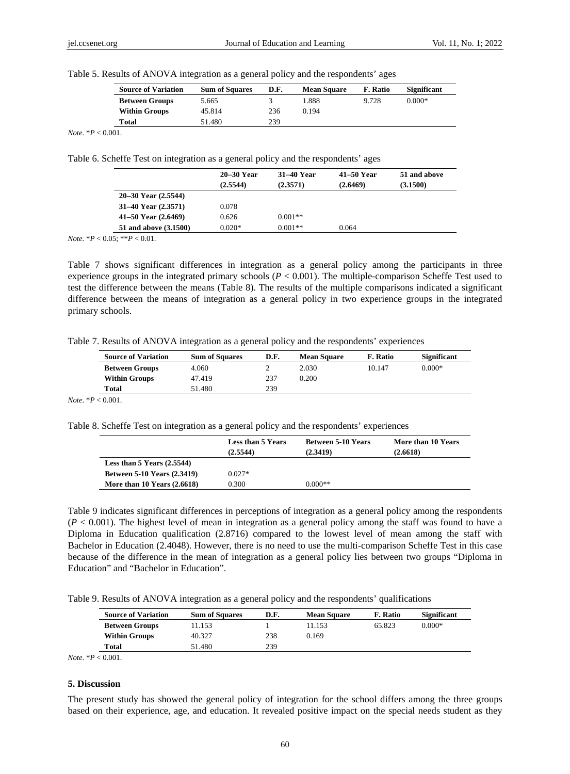| Table 5. Results of ANOVA integration as a general policy and the respondents' ages |  |  |
|-------------------------------------------------------------------------------------|--|--|
|                                                                                     |  |  |

| <b>Source of Variation</b> | <b>Sum of Squares</b> | D.F. | <b>Mean Square</b> | F. Ratio | Significant |
|----------------------------|-----------------------|------|--------------------|----------|-------------|
| <b>Between Groups</b>      | 5.665                 |      | 1.888              | 9.728    | $0.000*$    |
| <b>Within Groups</b>       | 45.814                | 236  | 0.194              |          |             |
| Total                      | 51.480                | 239  |                    |          |             |

*Note*. \**P* < 0.001.

Table 6. Scheffe Test on integration as a general policy and the respondents' ages

|                           | 20–30 Year | 31–40 Year | 41–50 Year | 51 and above |
|---------------------------|------------|------------|------------|--------------|
|                           | (2.5544)   | (2.3571)   | (2.6469)   | (3.1500)     |
| $20 - 30$ Year $(2.5544)$ |            |            |            |              |
| 31–40 Year (2.3571)       | 0.078      |            |            |              |
| 41–50 Year (2.6469)       | 0.626      | $0.001**$  |            |              |
| 51 and above (3.1500)     | $0.020*$   | $0.001**$  | 0.064      |              |

*Note*. \**P* < 0.05; \*\**P* < 0.01.

Table 7 shows significant differences in integration as a general policy among the participants in three experience groups in the integrated primary schools (*P* < 0.001). The multiple-comparison Scheffe Test used to test the difference between the means (Table 8). The results of the multiple comparisons indicated a significant difference between the means of integration as a general policy in two experience groups in the integrated primary schools.

Table 7. Results of ANOVA integration as a general policy and the respondents' experiences

| <b>Source of Variation</b> | <b>Sum of Squares</b> | D.F. | <b>Mean Square</b> | F. Ratio | <b>Significant</b> |
|----------------------------|-----------------------|------|--------------------|----------|--------------------|
| <b>Between Groups</b>      | 4.060                 |      | 2.030              | 10.147   | $0.000*$           |
| <b>Within Groups</b>       | 47.419                | 237  | 0.200              |          |                    |
| Total                      | 51.480                | 239  |                    |          |                    |

*Note*. \**P* < 0.001.

Table 8. Scheffe Test on integration as a general policy and the respondents' experiences

|                                    | <b>Less than 5 Years</b><br>(2.5544) | <b>Between 5-10 Years</b><br>(2.3419) | More than 10 Years<br>(2.6618) |
|------------------------------------|--------------------------------------|---------------------------------------|--------------------------------|
| Less than $5$ Years $(2.5544)$     |                                      |                                       |                                |
| <b>Between 5-10 Years (2.3419)</b> | $0.027*$                             |                                       |                                |
| More than $10$ Years $(2.6618)$    | 0.300                                | $0.000**$                             |                                |

Table 9 indicates significant differences in perceptions of integration as a general policy among the respondents  $(P < 0.001)$ . The highest level of mean in integration as a general policy among the staff was found to have a Diploma in Education qualification (2.8716) compared to the lowest level of mean among the staff with Bachelor in Education (2.4048). However, there is no need to use the multi-comparison Scheffe Test in this case because of the difference in the mean of integration as a general policy lies between two groups "Diploma in Education" and "Bachelor in Education".

Table 9. Results of ANOVA integration as a general policy and the respondents' qualifications

| <b>Source of Variation</b> | <b>Sum of Squares</b> | D.F. | <b>Mean Square</b> | F. Ratio | Significant |
|----------------------------|-----------------------|------|--------------------|----------|-------------|
| <b>Between Groups</b>      | 1.153                 |      | 11.153             | 65.823   | $0.000*$    |
| <b>Within Groups</b>       | 40.327                | 238  | 0.169              |          |             |
| Total                      | 51.480                | 239  |                    |          |             |

*Note*. \**P* < 0.001.

# **5. Discussion**

The present study has showed the general policy of integration for the school differs among the three groups based on their experience, age, and education. It revealed positive impact on the special needs student as they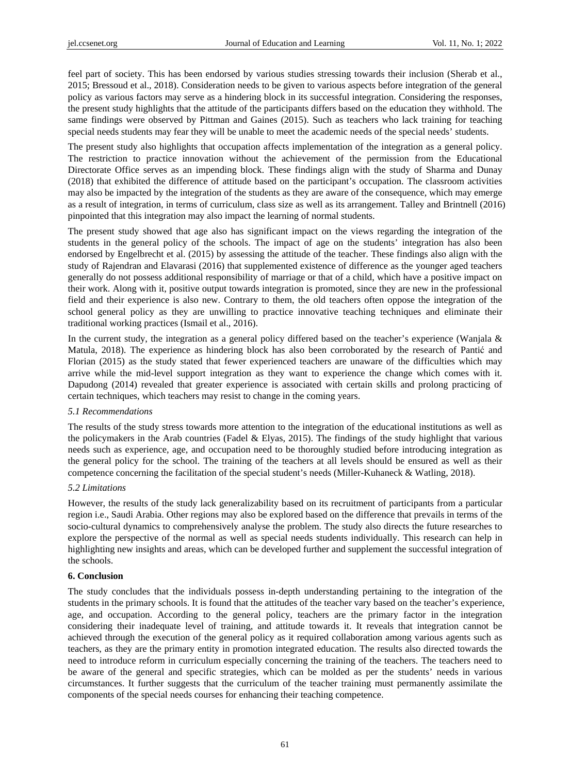feel part of society. This has been endorsed by various studies stressing towards their inclusion (Sherab et al., 2015; Bressoud et al., 2018). Consideration needs to be given to various aspects before integration of the general policy as various factors may serve as a hindering block in its successful integration. Considering the responses, the present study highlights that the attitude of the participants differs based on the education they withhold. The same findings were observed by Pittman and Gaines (2015). Such as teachers who lack training for teaching special needs students may fear they will be unable to meet the academic needs of the special needs' students.

The present study also highlights that occupation affects implementation of the integration as a general policy. The restriction to practice innovation without the achievement of the permission from the Educational Directorate Office serves as an impending block. These findings align with the study of Sharma and Dunay (2018) that exhibited the difference of attitude based on the participant's occupation. The classroom activities may also be impacted by the integration of the students as they are aware of the consequence, which may emerge as a result of integration, in terms of curriculum, class size as well as its arrangement. Talley and Brintnell (2016) pinpointed that this integration may also impact the learning of normal students.

The present study showed that age also has significant impact on the views regarding the integration of the students in the general policy of the schools. The impact of age on the students' integration has also been endorsed by Engelbrecht et al. (2015) by assessing the attitude of the teacher. These findings also align with the study of Rajendran and Elavarasi (2016) that supplemented existence of difference as the younger aged teachers generally do not possess additional responsibility of marriage or that of a child, which have a positive impact on their work. Along with it, positive output towards integration is promoted, since they are new in the professional field and their experience is also new. Contrary to them, the old teachers often oppose the integration of the school general policy as they are unwilling to practice innovative teaching techniques and eliminate their traditional working practices (Ismail et al., 2016).

In the current study, the integration as a general policy differed based on the teacher's experience (Wanjala & Matula, 2018). The experience as hindering block has also been corroborated by the research of Pantić and Florian (2015) as the study stated that fewer experienced teachers are unaware of the difficulties which may arrive while the mid-level support integration as they want to experience the change which comes with it. Dapudong (2014) revealed that greater experience is associated with certain skills and prolong practicing of certain techniques, which teachers may resist to change in the coming years.

#### *5.1 Recommendations*

The results of the study stress towards more attention to the integration of the educational institutions as well as the policymakers in the Arab countries (Fadel & Elyas, 2015). The findings of the study highlight that various needs such as experience, age, and occupation need to be thoroughly studied before introducing integration as the general policy for the school. The training of the teachers at all levels should be ensured as well as their competence concerning the facilitation of the special student's needs (Miller-Kuhaneck & Watling, 2018).

#### *5.2 Limitations*

However, the results of the study lack generalizability based on its recruitment of participants from a particular region i.e., Saudi Arabia. Other regions may also be explored based on the difference that prevails in terms of the socio-cultural dynamics to comprehensively analyse the problem. The study also directs the future researches to explore the perspective of the normal as well as special needs students individually. This research can help in highlighting new insights and areas, which can be developed further and supplement the successful integration of the schools.

#### **6. Conclusion**

The study concludes that the individuals possess in-depth understanding pertaining to the integration of the students in the primary schools. It is found that the attitudes of the teacher vary based on the teacher's experience, age, and occupation. According to the general policy, teachers are the primary factor in the integration considering their inadequate level of training, and attitude towards it. It reveals that integration cannot be achieved through the execution of the general policy as it required collaboration among various agents such as teachers, as they are the primary entity in promotion integrated education. The results also directed towards the need to introduce reform in curriculum especially concerning the training of the teachers. The teachers need to be aware of the general and specific strategies, which can be molded as per the students' needs in various circumstances. It further suggests that the curriculum of the teacher training must permanently assimilate the components of the special needs courses for enhancing their teaching competence.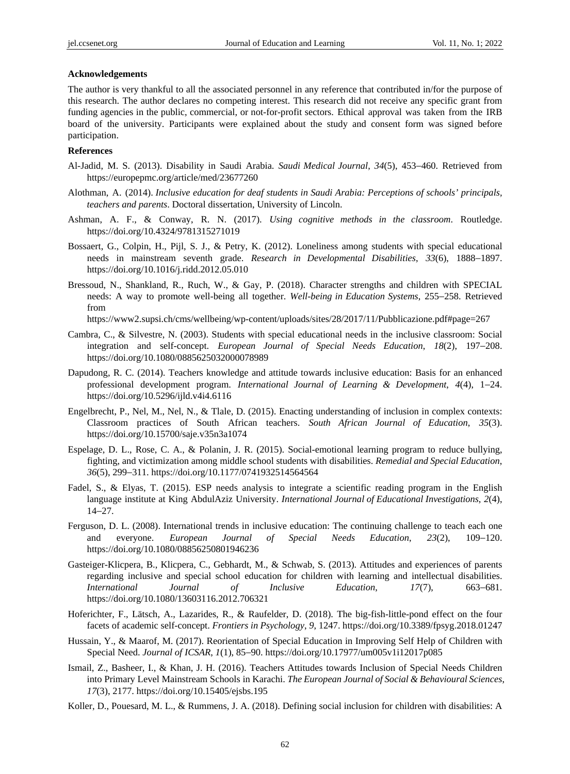#### **Acknowledgements**

The author is very thankful to all the associated personnel in any reference that contributed in/for the purpose of this research. The author declares no competing interest. This research did not receive any specific grant from funding agencies in the public, commercial, or not-for-profit sectors. Ethical approval was taken from the IRB board of the university. Participants were explained about the study and consent form was signed before participation.

# **References**

- Al-Jadid, M. S. (2013). Disability in Saudi Arabia. *Saudi Medical Journal*, *34*(5), 453−460. Retrieved from https://europepmc.org/article/med/23677260
- Alothman, A. (2014). *Inclusive education for deaf students in Saudi Arabia: Perceptions of schools' principals, teachers and parents*. Doctoral dissertation, University of Lincoln.
- Ashman, A. F., & Conway, R. N. (2017). *Using cognitive methods in the classroom*. Routledge. https://doi.org/10.4324/9781315271019
- Bossaert, G., Colpin, H., Pijl, S. J., & Petry, K. (2012). Loneliness among students with special educational needs in mainstream seventh grade. *Research in Developmental Disabilities*, *33*(6), 1888−1897. https://doi.org/10.1016/j.ridd.2012.05.010
- Bressoud, N., Shankland, R., Ruch, W., & Gay, P. (2018). Character strengths and children with SPECIAL needs: A way to promote well-being all together. *Well-being in Education Systems*, 255−258. Retrieved from

https://www2.supsi.ch/cms/wellbeing/wp-content/uploads/sites/28/2017/11/Pubblicazione.pdf#page=267

- Cambra, C., & Silvestre, N. (2003). Students with special educational needs in the inclusive classroom: Social integration and self-concept. *European Journal of Special Needs Education*, *18*(2), 197−208. https://doi.org/10.1080/0885625032000078989
- Dapudong, R. C. (2014). Teachers knowledge and attitude towards inclusive education: Basis for an enhanced professional development program. *International Journal of Learning & Development*, *4*(4), 1−24. https://doi.org/10.5296/ijld.v4i4.6116
- Engelbrecht, P., Nel, M., Nel, N., & Tlale, D. (2015). Enacting understanding of inclusion in complex contexts: Classroom practices of South African teachers. *South African Journal of Education*, *35*(3). https://doi.org/10.15700/saje.v35n3a1074
- Espelage, D. L., Rose, C. A., & Polanin, J. R. (2015). Social-emotional learning program to reduce bullying, fighting, and victimization among middle school students with disabilities. *Remedial and Special Education*, *36*(5), 299−311. https://doi.org/10.1177/0741932514564564
- Fadel, S., & Elyas, T. (2015). ESP needs analysis to integrate a scientific reading program in the English language institute at King AbdulAziz University. *International Journal of Educational Investigations*, *2*(4), 14−27.
- Ferguson, D. L. (2008). International trends in inclusive education: The continuing challenge to teach each one and everyone. *European Journal of Special Needs Education*, *23*(2), 109−120. https://doi.org/10.1080/08856250801946236
- Gasteiger-Klicpera, B., Klicpera, C., Gebhardt, M., & Schwab, S. (2013). Attitudes and experiences of parents regarding inclusive and special school education for children with learning and intellectual disabilities. *International Journal of Inclusive Education*, *17*(7), 663−681. https://doi.org/10.1080/13603116.2012.706321
- Hoferichter, F., Lätsch, A., Lazarides, R., & Raufelder, D. (2018). The big-fish-little-pond effect on the four facets of academic self-concept. *Frontiers in Psychology*, *9*, 1247. https://doi.org/10.3389/fpsyg.2018.01247
- Hussain, Y., & Maarof, M. (2017). Reorientation of Special Education in Improving Self Help of Children with Special Need. *Journal of ICSAR*, *1*(1), 85−90. https://doi.org/10.17977/um005v1i12017p085
- Ismail, Z., Basheer, I., & Khan, J. H. (2016). Teachers Attitudes towards Inclusion of Special Needs Children into Primary Level Mainstream Schools in Karachi. *The European Journal of Social & Behavioural Sciences*, *17*(3), 2177. https://doi.org/10.15405/ejsbs.195
- Koller, D., Pouesard, M. L., & Rummens, J. A. (2018). Defining social inclusion for children with disabilities: A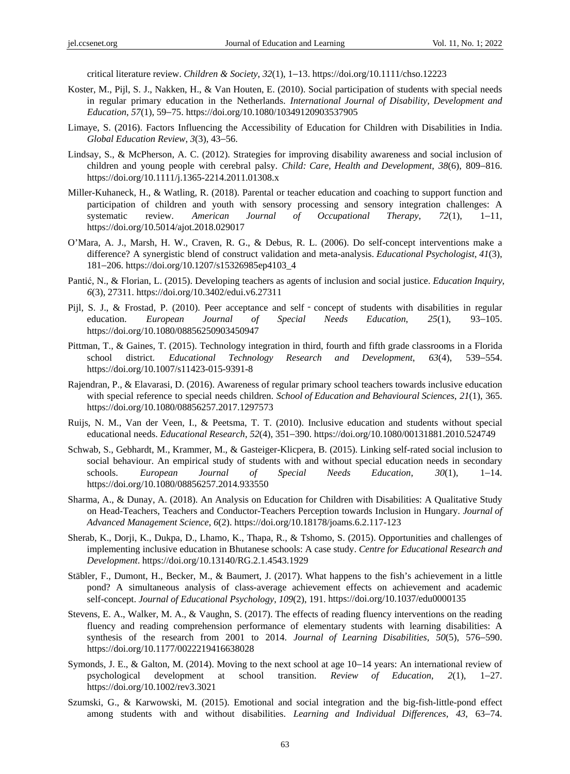critical literature review. *Children & Society*, *32*(1), 1−13. https://doi.org/10.1111/chso.12223

- Koster, M., Pijl, S. J., Nakken, H., & Van Houten, E. (2010). Social participation of students with special needs in regular primary education in the Netherlands. *International Journal of Disability, Development and Education*, *57*(1), 59−75. https://doi.org/10.1080/10349120903537905
- Limaye, S. (2016). Factors Influencing the Accessibility of Education for Children with Disabilities in India. *Global Education Review*, *3*(3), 43−56.
- Lindsay, S., & McPherson, A. C. (2012). Strategies for improving disability awareness and social inclusion of children and young people with cerebral palsy. *Child: Care, Health and Development*, *38*(6), 809−816. https://doi.org/10.1111/j.1365-2214.2011.01308.x
- Miller-Kuhaneck, H., & Watling, R. (2018). Parental or teacher education and coaching to support function and participation of children and youth with sensory processing and sensory integration challenges: A systematic review. *American Journal of Occupational Therapy*, *72*(1), 1−11, https://doi.org/10.5014/ajot.2018.029017
- O'Mara, A. J., Marsh, H. W., Craven, R. G., & Debus, R. L. (2006). Do self-concept interventions make a difference? A synergistic blend of construct validation and meta-analysis. *Educational Psychologist*, *41*(3), 181−206. https://doi.org/10.1207/s15326985ep4103\_4
- Pantić, N., & Florian, L. (2015). Developing teachers as agents of inclusion and social justice. *Education Inquiry*, *6*(3), 27311. https://doi.org/10.3402/edui.v6.27311
- Pijl, S. J., & Frostad, P. (2010). Peer acceptance and self concept of students with disabilities in regular education. *European Journal of Special Needs Education*, *25*(1), 93−105. https://doi.org/10.1080/08856250903450947
- Pittman, T., & Gaines, T. (2015). Technology integration in third, fourth and fifth grade classrooms in a Florida school district. *Educational Technology Research and Development*, *63*(4), 539−554. https://doi.org/10.1007/s11423-015-9391-8
- Rajendran, P., & Elavarasi, D. (2016). Awareness of regular primary school teachers towards inclusive education with special reference to special needs children. *School of Education and Behavioural Sciences*, *21*(1), 365. https://doi.org/10.1080/08856257.2017.1297573
- Ruijs, N. M., Van der Veen, I., & Peetsma, T. T. (2010). Inclusive education and students without special educational needs. *Educational Research*, *52*(4), 351−390. https://doi.org/10.1080/00131881.2010.524749
- Schwab, S., Gebhardt, M., Krammer, M., & Gasteiger-Klicpera, B. (2015). Linking self-rated social inclusion to social behaviour. An empirical study of students with and without special education needs in secondary schools. *European Journal of Special Needs Education*, *30*(1), 1−14. https://doi.org/10.1080/08856257.2014.933550
- Sharma, A., & Dunay, A. (2018). An Analysis on Education for Children with Disabilities: A Qualitative Study on Head-Teachers, Teachers and Conductor-Teachers Perception towards Inclusion in Hungary. *Journal of Advanced Management Science*, *6*(2). https://doi.org/10.18178/joams.6.2.117-123
- Sherab, K., Dorji, K., Dukpa, D., Lhamo, K., Thapa, R., & Tshomo, S. (2015). Opportunities and challenges of implementing inclusive education in Bhutanese schools: A case study. *Centre for Educational Research and Development*. https://doi.org/10.13140/RG.2.1.4543.1929
- Stäbler, F., Dumont, H., Becker, M., & Baumert, J. (2017). What happens to the fish's achievement in a little pond? A simultaneous analysis of class-average achievement effects on achievement and academic self-concept. *Journal of Educational Psychology*, *109*(2), 191. https://doi.org/10.1037/edu0000135
- Stevens, E. A., Walker, M. A., & Vaughn, S. (2017). The effects of reading fluency interventions on the reading fluency and reading comprehension performance of elementary students with learning disabilities: A synthesis of the research from 2001 to 2014. *Journal of Learning Disabilities*, *50*(5), 576−590. https://doi.org/10.1177/0022219416638028
- Symonds, J. E., & Galton, M. (2014). Moving to the next school at age 10−14 years: An international review of psychological development at school transition. *Review of Education*, *2*(1), 1−27. https://doi.org/10.1002/rev3.3021
- Szumski, G., & Karwowski, M. (2015). Emotional and social integration and the big-fish-little-pond effect among students with and without disabilities. *Learning and Individual Differences*, *43*, 63−74.